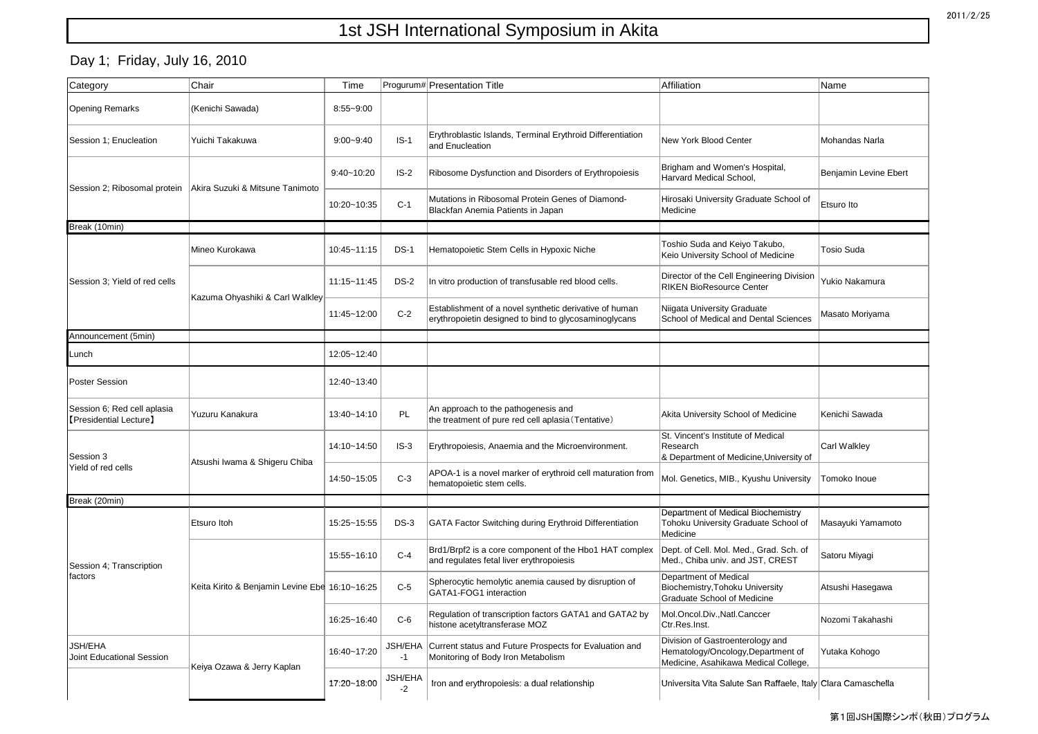## 1st JSH International Symposium in Akita

## Day 1; Friday, July 16, 2010

| Category                                              | Chair                                          | Time           |                                     | Progurum# Presentation Title                                                                                    | Affiliation                                                                                                    | Name                  |
|-------------------------------------------------------|------------------------------------------------|----------------|-------------------------------------|-----------------------------------------------------------------------------------------------------------------|----------------------------------------------------------------------------------------------------------------|-----------------------|
| <b>Opening Remarks</b>                                | (Kenichi Sawada)                               | 8:55~9:00      |                                     |                                                                                                                 |                                                                                                                |                       |
| Session 1; Enucleation                                | Yuichi Takakuwa                                | $9:00 - 9:40$  | $IS-1$                              | Erythroblastic Islands, Terminal Erythroid Differentiation<br>and Enucleation                                   | <b>New York Blood Center</b>                                                                                   | Mohandas Narla        |
| Session 2; Ribosomal protein                          | Akira Suzuki & Mitsune Tanimoto                | $9:40 - 10:20$ | $IS-2$                              | Ribosome Dysfunction and Disorders of Erythropoiesis                                                            | Brigham and Women's Hospital,<br>Harvard Medical School,                                                       | Benjamin Levine Ebert |
|                                                       |                                                | 10:20~10:35    | $C-1$                               | Mutations in Ribosomal Protein Genes of Diamond-<br>Blackfan Anemia Patients in Japan                           | Hirosaki University Graduate School of<br>Medicine                                                             | Etsuro Ito            |
| Break (10min)                                         |                                                |                |                                     |                                                                                                                 |                                                                                                                |                       |
| Session 3; Yield of red cells                         | Mineo Kurokawa                                 | 10:45~11:15    | $DS-1$                              | Hematopoietic Stem Cells in Hypoxic Niche                                                                       | Toshio Suda and Keiyo Takubo,<br>Keio University School of Medicine                                            | <b>Tosio Suda</b>     |
|                                                       | Kazuma Ohyashiki & Carl Walkley                | 11:15~11:45    | <b>DS-2</b>                         | In vitro production of transfusable red blood cells.                                                            | Director of the Cell Engineering Division<br><b>RIKEN BioResource Center</b>                                   | Yukio Nakamura        |
|                                                       |                                                | 11:45~12:00    | $C-2$                               | Establishment of a novel synthetic derivative of human<br>erythropoietin designed to bind to glycosaminoglycans | Niigata University Graduate<br>School of Medical and Dental Sciences                                           | Masato Moriyama       |
| Announcement (5min)                                   |                                                |                |                                     |                                                                                                                 |                                                                                                                |                       |
| Lunch                                                 |                                                | 12:05~12:40    |                                     |                                                                                                                 |                                                                                                                |                       |
| <b>Poster Session</b>                                 |                                                | 12:40~13:40    |                                     |                                                                                                                 |                                                                                                                |                       |
| Session 6; Red cell aplasia<br>[Presidential Lecture] | Yuzuru Kanakura                                | 13:40~14:10    | PL                                  | An approach to the pathogenesis and<br>the treatment of pure red cell aplasia (Tentative)                       | Akita University School of Medicine                                                                            | Kenichi Sawada        |
| Session 3<br>Yield of red cells                       | Atsushi Iwama & Shigeru Chiba                  | 14:10~14:50    | $IS-3$                              | Erythropoiesis, Anaemia and the Microenvironment.                                                               | St. Vincent's Institute of Medical<br>Research<br>& Department of Medicine, University of                      | Carl Walkley          |
|                                                       |                                                | 14:50~15:05    | $C-3$                               | APOA-1 is a novel marker of erythroid cell maturation from<br>hematopoietic stem cells.                         | Mol. Genetics, MIB., Kyushu University                                                                         | Tomoko Inoue          |
| Break (20min)                                         |                                                |                |                                     |                                                                                                                 |                                                                                                                |                       |
| Session 4; Transcription<br>factors                   | Etsuro Itoh                                    | 15:25~15:55    | $DS-3$                              | <b>GATA Factor Switching during Erythroid Differentiation</b>                                                   | Department of Medical Biochemistry<br>Tohoku University Graduate School of<br>Medicine                         | Masayuki Yamamoto     |
|                                                       | Keita Kirito & Benjamin Levine Ebe 16:10~16:25 | 15:55~16:10    | $C-4$                               | Brd1/Brpf2 is a core component of the Hbo1 HAT complex<br>and regulates fetal liver erythropoiesis              | Dept. of Cell. Mol. Med., Grad. Sch. of<br>Med., Chiba univ. and JST, CREST                                    | Satoru Miyagi         |
|                                                       |                                                |                | $C-5$                               | Spherocytic hemolytic anemia caused by disruption of<br>GATA1-FOG1 interaction                                  | Department of Medical<br>Biochemistry, Tohoku University<br><b>Graduate School of Medicine</b>                 | Atsushi Hasegawa      |
|                                                       |                                                | 16:25~16:40    | $C-6$                               | Regulation of transcription factors GATA1 and GATA2 by<br>histone acetyltransferase MOZ                         | Mol.Oncol.Div., Natl.Canccer<br>Ctr.Res.Inst.                                                                  | Nozomi Takahashi      |
| <b>JSH/EHA</b><br>Joint Educational Session           | Keiya Ozawa & Jerry Kaplan                     | 16:40~17:20    | -1                                  | JSH/EHA Current status and Future Prospects for Evaluation and<br>Monitoring of Body Iron Metabolism            | Division of Gastroenterology and<br>Hematology/Oncology, Department of<br>Medicine, Asahikawa Medical College, | Yutaka Kohogo         |
|                                                       |                                                | 17:20~18:00    | <b>JSH/EHA</b><br>$-2 \overline{ }$ | Iron and erythropoiesis: a dual relationship                                                                    | Universita Vita Salute San Raffaele, Italy Clara Camaschella                                                   |                       |